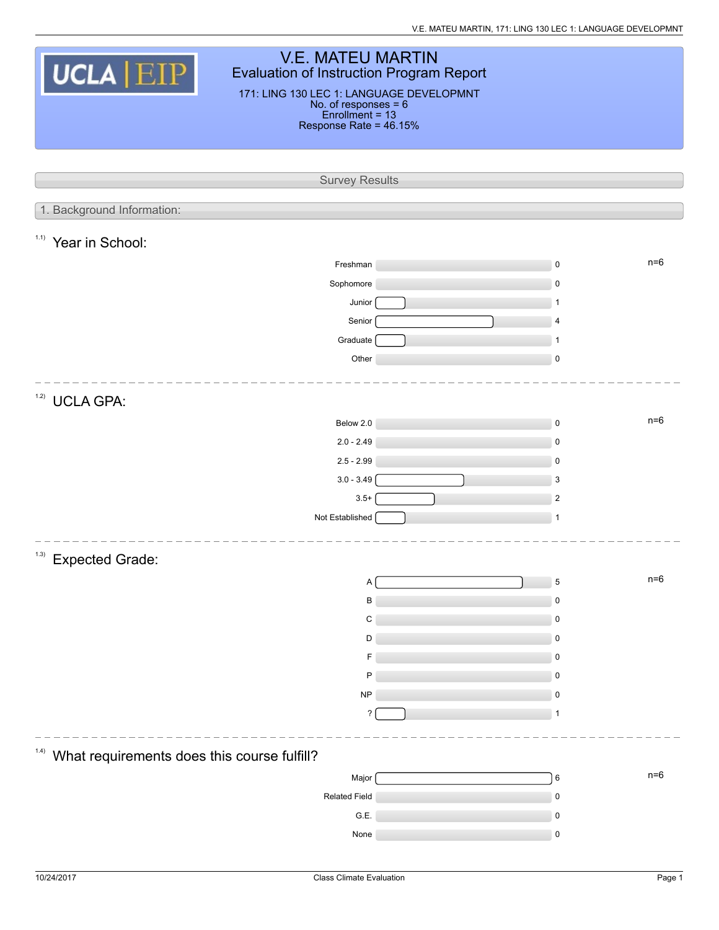V.E. MATEU MARTIN, 171: LING 130 LEC 1: LANGUAGE DEVELOPMNT

| <b>V.E. MATEU MARTIN</b><br>UCLA <b>EIP</b><br><b>Evaluation of Instruction Program Report</b> |                                          |  |              |       |  |  |  |  |  |
|------------------------------------------------------------------------------------------------|------------------------------------------|--|--------------|-------|--|--|--|--|--|
|                                                                                                | 171: LING 130 LEC 1: LANGUAGE DEVELOPMNT |  |              |       |  |  |  |  |  |
| No. of responses = 6<br>Enrollment = 13<br>Response Rate = 46.15%                              |                                          |  |              |       |  |  |  |  |  |
|                                                                                                |                                          |  |              |       |  |  |  |  |  |
|                                                                                                |                                          |  |              |       |  |  |  |  |  |
|                                                                                                | <b>Survey Results</b>                    |  |              |       |  |  |  |  |  |
| 1. Background Information:                                                                     |                                          |  |              |       |  |  |  |  |  |
| 1.1)<br>Year in School:                                                                        |                                          |  |              |       |  |  |  |  |  |
|                                                                                                | Freshman                                 |  | $\mathbf 0$  | $n=6$ |  |  |  |  |  |
|                                                                                                | Sophomore                                |  | $\mathbf 0$  |       |  |  |  |  |  |
|                                                                                                | Junior                                   |  | 1            |       |  |  |  |  |  |
|                                                                                                | Senior                                   |  | 4            |       |  |  |  |  |  |
|                                                                                                | Graduate                                 |  | $\mathbf{1}$ |       |  |  |  |  |  |
|                                                                                                | Other                                    |  | $\mathsf 0$  |       |  |  |  |  |  |
| 1.2)<br><b>UCLA GPA:</b>                                                                       |                                          |  |              |       |  |  |  |  |  |
|                                                                                                | Below 2.0                                |  | $\mathsf 0$  | $n=6$ |  |  |  |  |  |
|                                                                                                | $2.0 - 2.49$                             |  | $\mathsf 0$  |       |  |  |  |  |  |
|                                                                                                | $2.5 - 2.99$                             |  | $\mathbf 0$  |       |  |  |  |  |  |
|                                                                                                | $3.0 - 3.49$                             |  | 3            |       |  |  |  |  |  |
|                                                                                                | $3.5+$                                   |  | $\sqrt{2}$   |       |  |  |  |  |  |
|                                                                                                | Not Established                          |  | $\mathbf{1}$ |       |  |  |  |  |  |
| (1.3)                                                                                          |                                          |  |              |       |  |  |  |  |  |
| <b>Expected Grade:</b>                                                                         |                                          |  |              |       |  |  |  |  |  |
|                                                                                                | А                                        |  | $\mathbf 5$  | $n=6$ |  |  |  |  |  |
|                                                                                                | B                                        |  | $\mathbf 0$  |       |  |  |  |  |  |
|                                                                                                | C<br>D                                   |  | 0<br>0       |       |  |  |  |  |  |
|                                                                                                |                                          |  | $\mathbf 0$  |       |  |  |  |  |  |
|                                                                                                | P                                        |  | 0            |       |  |  |  |  |  |
|                                                                                                | <b>NP</b>                                |  | 0            |       |  |  |  |  |  |
|                                                                                                | ?                                        |  | 1            |       |  |  |  |  |  |
|                                                                                                |                                          |  |              |       |  |  |  |  |  |
| (1.4)<br>What requirements does this course fulfill?                                           |                                          |  |              |       |  |  |  |  |  |
|                                                                                                | Major                                    |  | 6            | $n=6$ |  |  |  |  |  |
|                                                                                                | <b>Related Field</b>                     |  | $\mathsf 0$  |       |  |  |  |  |  |
|                                                                                                | G.E.                                     |  | $\mathbf 0$  |       |  |  |  |  |  |
|                                                                                                | None                                     |  | 0            |       |  |  |  |  |  |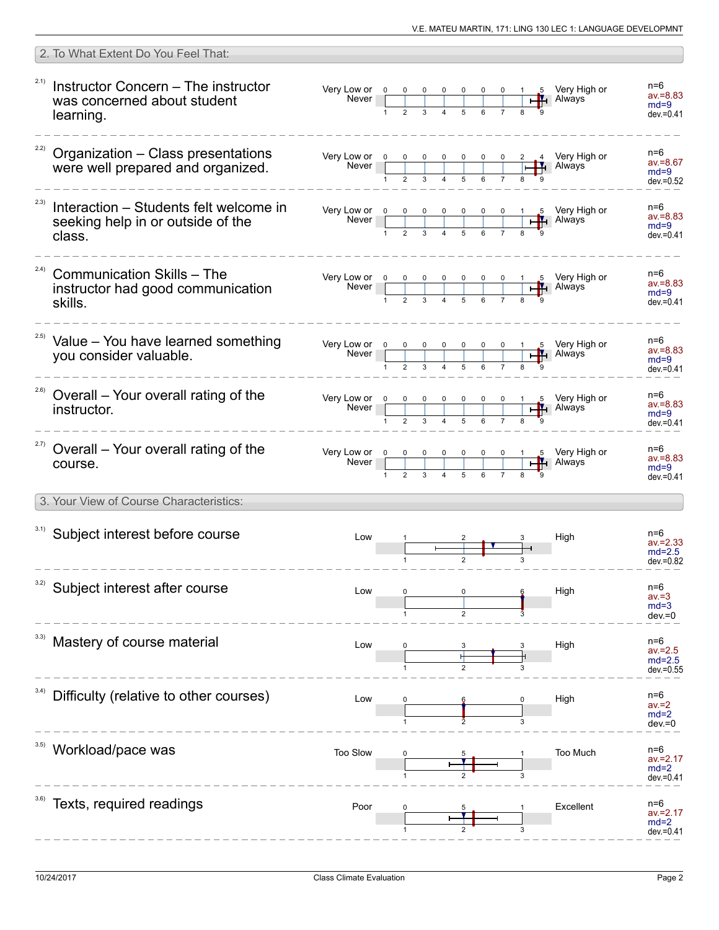|       | 2. To What Extent Do You Feel That:                                                             |          |  |  |  |   |                                                                                                                                                                                                                              |                                                |
|-------|-------------------------------------------------------------------------------------------------|----------|--|--|--|---|------------------------------------------------------------------------------------------------------------------------------------------------------------------------------------------------------------------------------|------------------------------------------------|
|       | <sup>2.1)</sup> Instructor Concern - The instructor<br>was concerned about student<br>learning. |          |  |  |  |   |                                                                                                                                                                                                                              | n=6<br>$av = 8.83$<br>$md=9$<br>$dev = 0.41$   |
|       | $22)$ Organization - Class presentations<br>were well prepared and organized.                   |          |  |  |  |   | Very Low or $\begin{array}{ c c c c c c c c c }\n\hline\n&\text{Never} & 0 & 0 & 0 & 0 & 0 & 0 & 2 & 4 \\ \hline\n& 1 & 2 & 3 & 4 & 5 & 6 & 7 & 8 & 9 \\ & & 1 & 2 & 3 & 4 & 5 & 6 & 7 & 8 & 9 \\ \hline\n\end{array}$ Lever | $n=6$<br>$av = 8.67$<br>$md=9$<br>$dev = 0.52$ |
| 2.3)  | Interaction – Students felt welcome in<br>seeking help in or outside of the<br>class.           |          |  |  |  |   |                                                                                                                                                                                                                              | n=6<br>$av = 8.83$<br>$md=9$<br>$dev = 0.41$   |
| (2.4) | <b>Communication Skills - The</b><br>instructor had good communication<br>skills.               |          |  |  |  |   |                                                                                                                                                                                                                              | n=6<br>$av = 8.83$<br>$md=9$<br>$dev = 0.41$   |
|       | <sup>2.5)</sup> Value - You have learned something<br>vou consider valuable.                    |          |  |  |  |   |                                                                                                                                                                                                                              | n=6<br>$av = 8.83$<br>$md=9$<br>$dev = 0.41$   |
|       | <sup>2.6)</sup> Overall - Your overall rating of the<br>instructor.                             |          |  |  |  |   | Very Low or $\begin{array}{ c c c c c c c c c }\n\hline\n& & & & & & & \\ \hline\n& & & & & & & \\ \hline\n& 1 & 2 & 3 & 4 & 5 & 6 & 7 & 8 & 9 \\ \hline\n& 4 & 5 & 6 & 7 & 8 & 9 & 9 & 9\n\end{array}$ Law ays              | n=6<br>$av = 8.83$<br>$md=9$<br>$dev = 0.41$   |
|       | <sup>2.7)</sup> Overall – Your overall rating of the<br>course.                                 |          |  |  |  |   |                                                                                                                                                                                                                              | n=6<br>$av = 8.83$<br>$md=9$<br>$dev = 0.41$   |
|       | 3. Your View of Course Characteristics:                                                         |          |  |  |  |   |                                                                                                                                                                                                                              |                                                |
|       | 3.1) Subject interest before course                                                             | Low      |  |  |  |   | High                                                                                                                                                                                                                         | n=6<br>$av = 2.33$<br>$md=2.5$<br>$dev = 0.82$ |
| 3.2)  | Subject interest after course                                                                   | Low      |  |  |  |   | High                                                                                                                                                                                                                         | n=6<br>av.=3<br>$md=3$<br>$dev = 0$            |
|       | Mastery of course material                                                                      | Low      |  |  |  |   | High                                                                                                                                                                                                                         | n=6<br>$av = 2.5$<br>$md=2.5$<br>$dev = 0.55$  |
| 3.4)  | Difficulty (relative to other courses)                                                          | Low      |  |  |  | 3 | High                                                                                                                                                                                                                         | n=6<br>av.=2<br>$md=2$<br>$dev = 0$            |
|       | Workload/pace was                                                                               | Too Slow |  |  |  | 3 | Too Much                                                                                                                                                                                                                     | n=6<br>$av = 2.17$<br>$md=2$<br>$dev = 0.41$   |
|       | Texts, required readings                                                                        | Poor     |  |  |  |   | Excellent                                                                                                                                                                                                                    | n=6<br>$av = 2.17$<br>$md=2$<br>dev.=0.41      |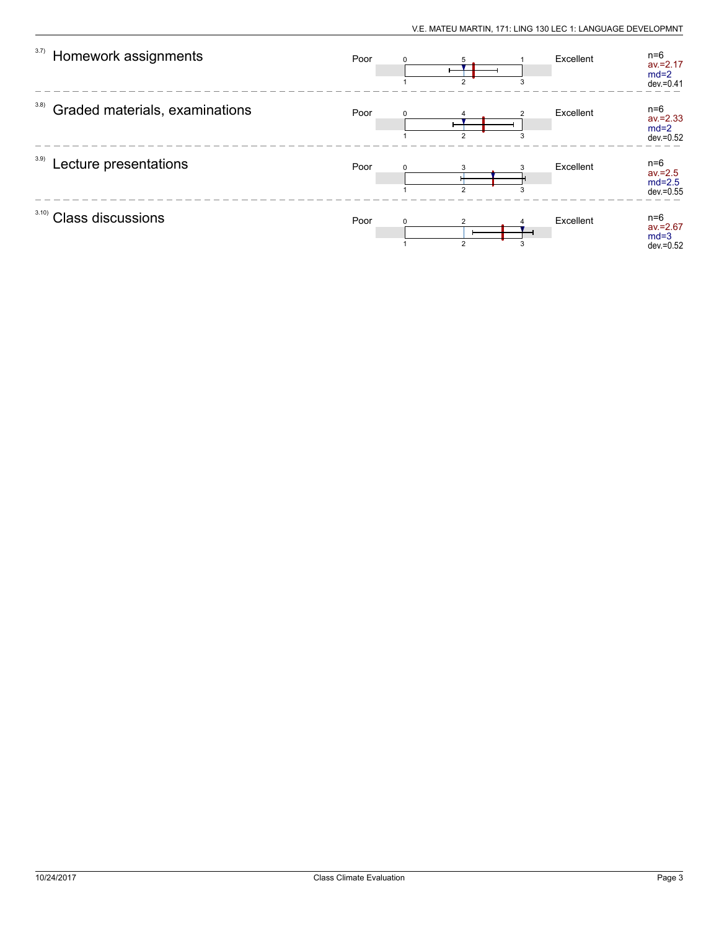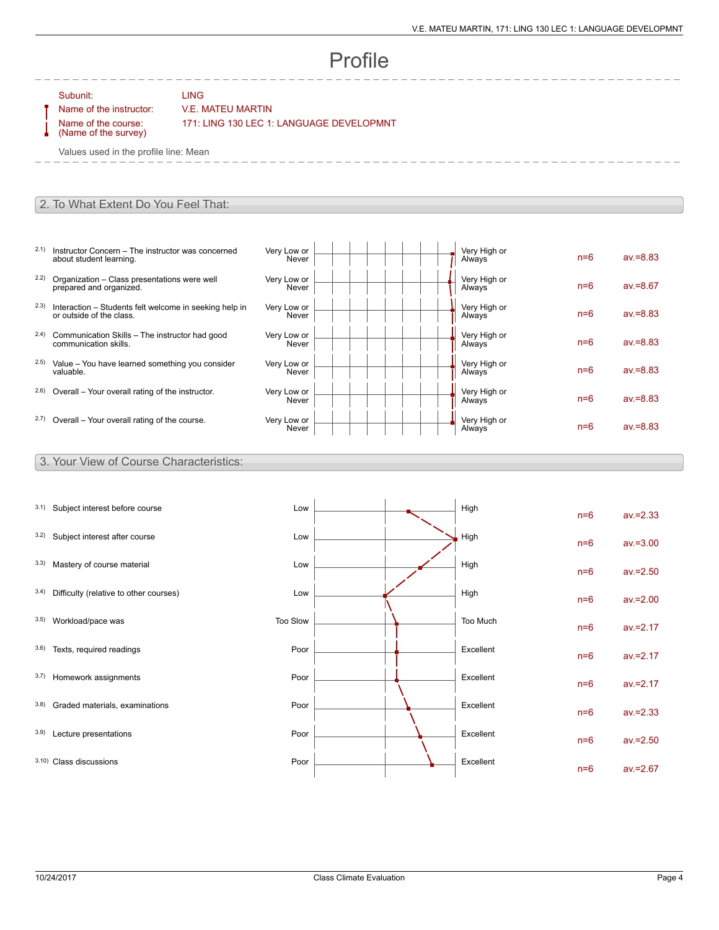# Profile

Subunit: LING

### Name of the instructor: V.E. MATEU MARTIN

Name of the course: (Name of the survey) 171: LING 130 LEC 1: LANGUAGE DEVELOPMNT

Values used in the profile line: Mean

#### 2. To What Extent Do You Feel That:

- 2.1) Instructor Concern The instructor was concerned about student learning.
- 2.2) Organization Class presentations were well prepared and organized.
- 2.3) Interaction Students felt welcome in seeking help in or outside of the class.
- 2.4) Communication Skills The instructor had good communication skills.
- 2.5) Value You have learned something you consider valuable.
- $2.6$ ) Overall Your overall rating of the instructor.
- $2.7)$  Overall Your overall rating of the course.

| Very Low or<br>Never | Very High or<br>Always | $n=6$ | $av = 8.83$ |
|----------------------|------------------------|-------|-------------|
| Very Low or<br>Never | Very High or<br>Always | $n=6$ | $av = 8.67$ |
| Very Low or<br>Never | Very High or<br>Always | $n=6$ | $av = 8.83$ |
| Very Low or<br>Never | Very High or<br>Always | $n=6$ | $av = 8.83$ |
| Very Low or<br>Never | Very High or<br>Always | $n=6$ | $av = 8.83$ |
| Very Low or<br>Never | Very High or<br>Always | $n=6$ | $av = 8.83$ |
| Very Low or<br>Never | Very High or<br>Always | $n=6$ | $av = 8.83$ |

#### 3. Your View of Course Characteristics:

| 3.1) | Subject interest before course         | Low      |  | High      | $n=6$ | $av = 2.33$ |
|------|----------------------------------------|----------|--|-----------|-------|-------------|
| 3.2) | Subject interest after course          | Low      |  | High      | $n=6$ | $av = 3.00$ |
| 3.3) | Mastery of course material             | Low      |  | High      | $n=6$ | $av = 2.50$ |
| 3.4) | Difficulty (relative to other courses) | Low      |  | High      | $n=6$ | $av = 2.00$ |
| 3.5) | Workload/pace was                      | Too Slow |  | Too Much  | $n=6$ | $av = 2.17$ |
| 3.6) | Texts, required readings               | Poor     |  | Excellent | $n=6$ | $av = 2.17$ |
| 3.7) | Homework assignments                   | Poor     |  | Excellent | $n=6$ | $av = 2.17$ |
| 3.8) | Graded materials, examinations         | Poor     |  | Excellent | $n=6$ | $av = 2.33$ |
| 3.9) | Lecture presentations                  | Poor     |  | Excellent | $n=6$ | $av = 2.50$ |
|      | 3.10) Class discussions                | Poor     |  | Excellent | $n=6$ | $av = 2.67$ |